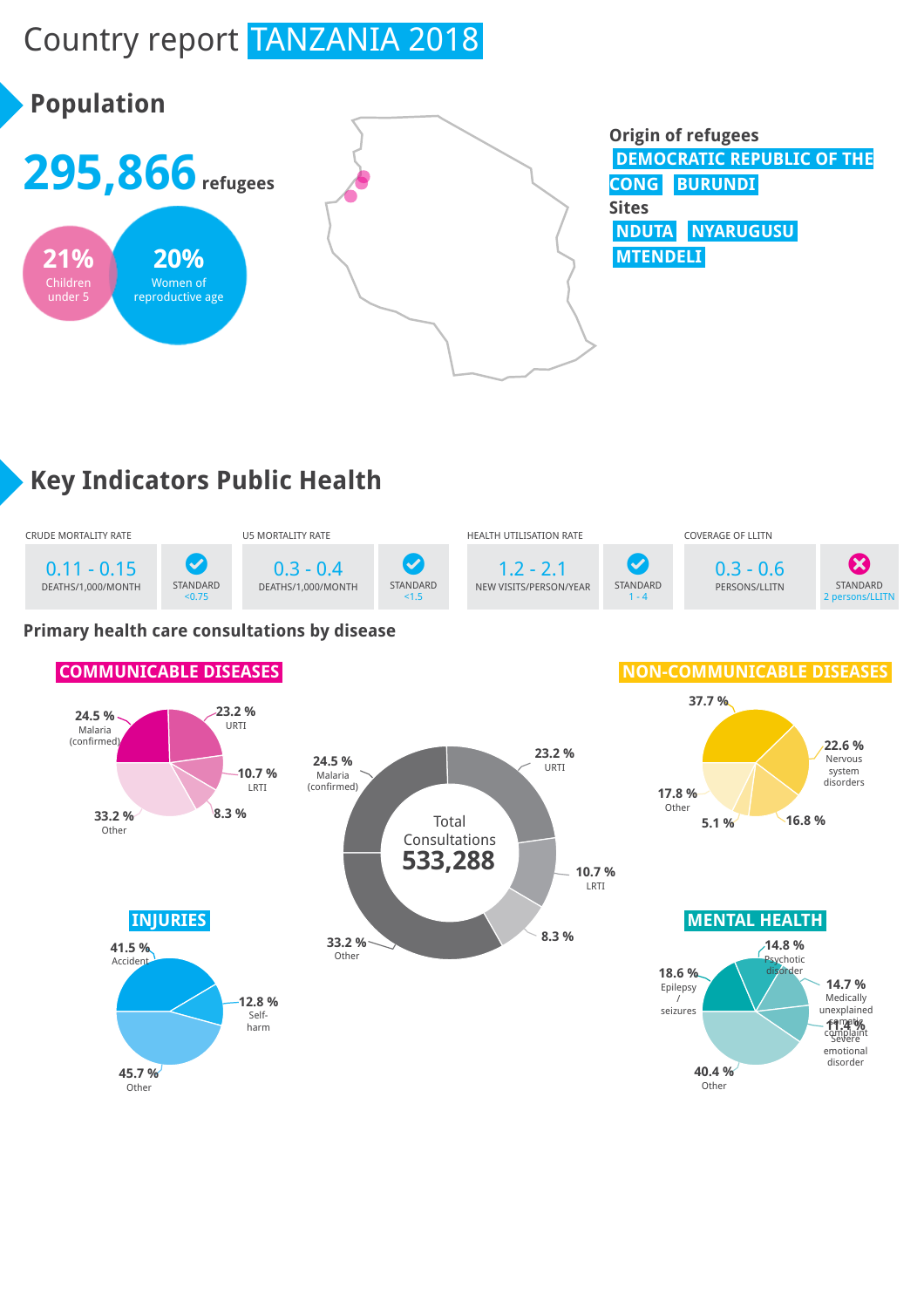# Country report TANZANIA 2018



## **Key Indicators Public Health**



#### **Primary health care consultations by disease**

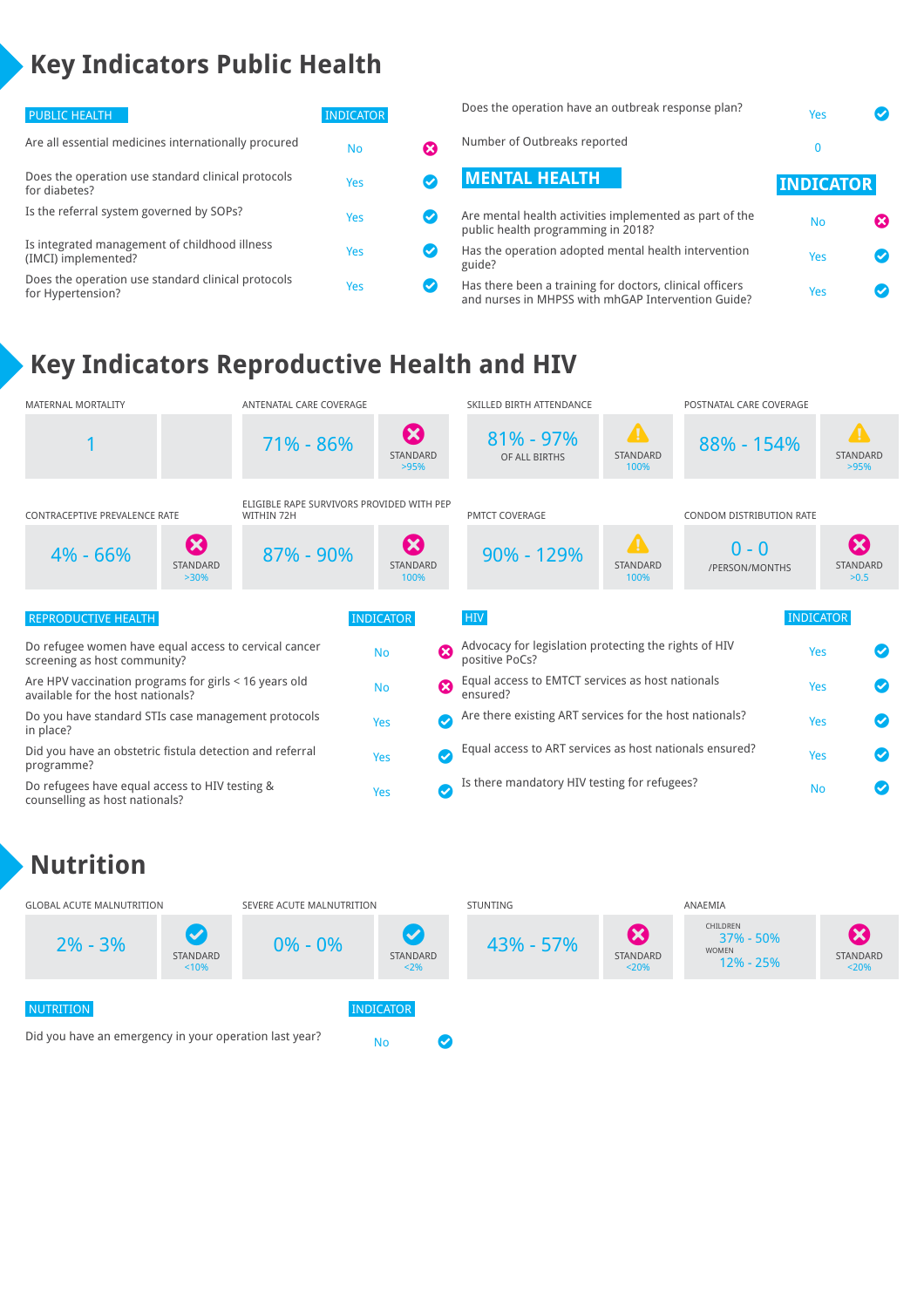## **Key Indicators Public Health**

| <b>PUBLIC HEALTH</b>                                                    | <b>INDICATOR</b> |  |
|-------------------------------------------------------------------------|------------------|--|
| Are all essential medicines internationally procured                    | No               |  |
| Does the operation use standard clinical protocols<br>for diabetes?     | Yes              |  |
| Is the referral system governed by SOPs?                                | Yes              |  |
| Is integrated management of childhood illness<br>(IMCI) implemented?    | Yes              |  |
| Does the operation use standard clinical protocols<br>for Hypertension? | Yes              |  |

| Does the operation have an outbreak response plan?                                            | Yes              |  |
|-----------------------------------------------------------------------------------------------|------------------|--|
| Number of Outbreaks reported                                                                  | 0                |  |
| <b>MENTAL HEALTH</b>                                                                          | <b>INDICATOR</b> |  |
| Are mental health activities implemented as part of the<br>public health programming in 2018? | <b>No</b>        |  |
| Has the operation adopted mental health intervention<br>guide?                                | Yes              |  |

Has there been a training for doctors, clinical officers rias there been a training for doctors, clinical officers<br>and nurses in MHPSS with mhGAP Intervention Guide?

## **Key Indicators Reproductive Health and HIV**



### **Nutrition**